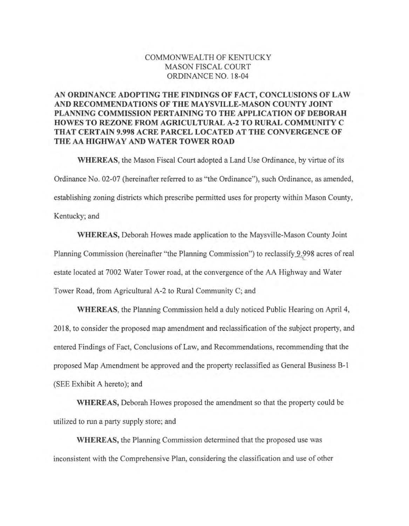# COMMONWEALTH OF KENTUCKY MASON FISCAL COURT ORDINANCE NO. 18-04

# AN ORDINANCE ADOPTING THE FINDINGS OF FACT, CONCLUSIONS OF LAW AND RECOMMENDATIONS OF THE MAYSVILLE-MASON COUNTY JOINT PLANNING COMMISSION PERTAINING TO THE APPLICATION OF DEBORAH HOWES TO REZONE FROM AGRICULTURAL A-2 TO RURAL COMMUNITY C THAT CERTAIN 9.998 ACRE PARCEL LOCATED AT THE CONVERGENCE OF THE AA HIGHWAY AND WATER TOWER ROAD

WHEREAS, the Mason Fiscal Court adopted a Land Use Ordinance, by virtue of its Ordinance No. 02-07 (hereinafter referred to as "the Ordinance"), such Ordinance, as amended, establishing zoning districts which prescribe permitted uses for property within Mason County, Kentucky; and

WHEREAS, Deborah Howes made application to the Maysville-Mason County loint Planning Commission (hereinafter "the Planning Commission") to reclassify 9.998 acres of real estate located at 7002 Water Tower road, at the convergence of the AA Highway and Water Tower Road, from Agricultural A-2 to Rural Community C; and

WHEREAS, the Planning Commission held a duly noticed Public Hearing on April 4, 2018, to consider the proposed map amendment and reclassification of the subject property, and entered Findings of Fact, Conclusions of Law, and Recommendations, recommending that the proposed Map Amendment be approved and the property reclassified as General Business B-1 (SEE Exhibit A hereto); and

WHEREAS, Deborah Howes proposed the amendment so that the property could be utilized to run a party supply store; and

WHEREAS, the Planning Commission determined that the proposed use was inconsistent with the Comprehensive Plan, considering the classification and use of other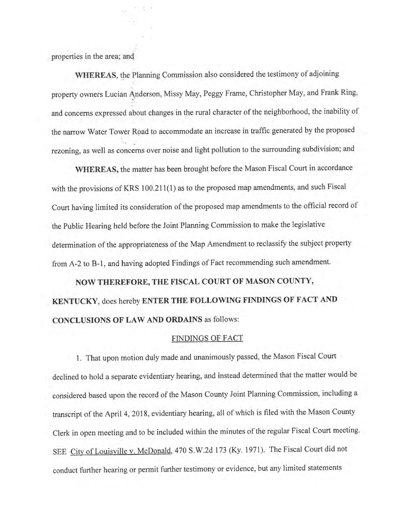properties in the area; and

WHEREAS, the Planning Commission also considered the testimony of adjoining property owners Lucian Anderson, Missy May, Peggy Frame, Christopher May, and Frank Ring, and concerns expressed about changes in the rural character of the neighborhood, the inability of the narrow Water Tower Road to accommodate an increase in traffic generated by the proposed rezoning, as well as concerns over noise and light pollution to the surrounding subdivision; and

WHEREAS, the matter has been brought before the Mason Fiscal Court in accordance with the provisions of KRS 100.211(1) as to the proposed map amendments, and such Fiscal Court having limited its consideration of the proposed map amendments to the official record of the Public Hearing held before the Joint Planning Commission to make the legislative determination of the appropriateness of the Map Amendment to reclassify the subject property from A-2 to B-1, and having adopted Findings of Fact recommending such amendment.

# NOW THEREFORE, THE FISCAL COURT OF MASON COUNTY, KENTUCKY, does hereby ENTER THE FOLLOWING FINDINGS OF FACT AND **CONCLUSIONS OF LAW AND ORDAINS as follows:**

## **FINDINGS OF FACT**

1. That upon motion duly made and unanimously passed, the Mason Fiscal Court declined to hold a separate evidentiary hearing, and instead determined that the matter would be considered based upon the record of the Mason County Joint Planning Commission, including a transcript of the April 4, 2018, evidentiary hearing, all of which is filed with the Mason County Clerk in open meeting and to be included within the minutes of the regular Fiscal Court meeting. SEE City of Louisville v. McDonald, 470 S.W.2d 173 (Ky. 1971). The Fiscal Court did not conduct further hearing or permit further testimony or evidence, but any limited statements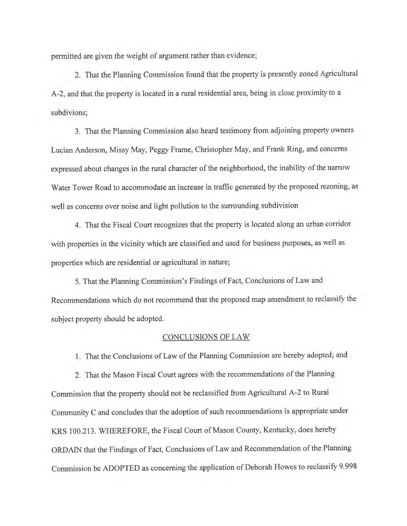permitted are given the weight of argument rather than evidence;

2. That the Planning Commission found that the property is presently zoned Agricultural A-2, and that the property is located in a rural residential area, being in close proximity to a subdivions;

3. That the Planning Commission also heard testimony from adjoining property owners Lucian Anderson, Missy May, Peggy Frame, Christopher May, and Frank Ring, and concerns expressed about changes in the rural character of the neighborhood, the inability of the narrow Water Tower Road to accommodate an increase in traffic generated by the proposed rezoning, as well as concerns over noise and light pollution to the surrounding subdivision

4. That the Fiscal Court recognizes that the property is located along an urban corridor with properties in the vicinity which are classified and used for business purposes, as well as properties which are residential or agricultural in nature;

5. That the Planning Commission's Findings of Fact, Conclusions of Law and Recommendations which do not recommend that the proposed map amendment to reclassify the subject property should be adopted.

## **CONCLUSIONS OF LAW**

1. That the Conclusions of Law of the Planning Commission are hereby adopted; and

2. That the Mason Fiscal Court agrees with the recommendations of the Planning Commission that the property should not be reclassified from Agricultural A-2 to Rural Community C and concludes that the adoption of such recommendations is appropriate under KRS 100.213. WHEREFORE, the Fiscal Court of Mason County, Kentucky, does hereby ORDAIN that the Findings of Fact, Conclusions of Law and Recommendation of the Planning Commission be ADOPTED as concerning the application of Deborah Howes to reclassify 9.998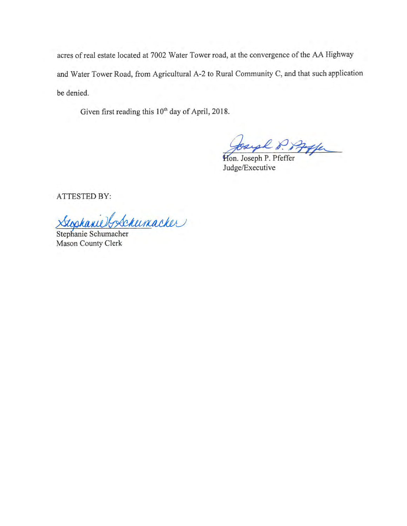acres of real estate located at 7002 Water Tower road, at the convergence of the AA Highway and Water Tower Road, from Agricultural A-2 to Rural Community C, and that such application be denied.

Given first reading this 10<sup>th</sup> day of April, 2018.

Joseph P. Pffer

Judge/Executive

ATTESTED BY:

Stophanie & Schumacher

Stephanie Schumacher Mason County Clerk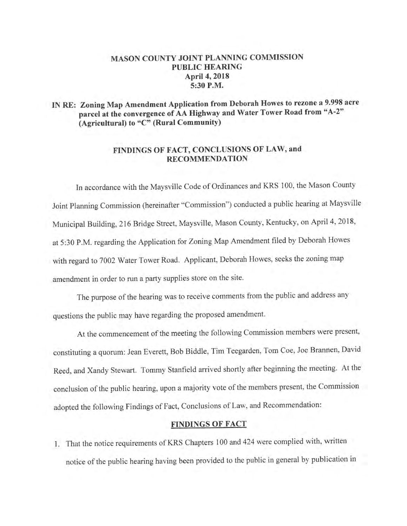# MASON COUNTY JOINT PLANNING COMMISSION **PUBLIC HEARING** April 4, 2018 5:30 P.M.

# IN RE: Zoning Map Amendment Application from Deborah Howes to rezone a 9.998 acre parcel at the convergence of AA Highway and Water Tower Road from "A-2" (Agricultural) to "C" (Rural Community)

## FINDINGS OF FACT, CONCLUSIONS OF LAW, and **RECOMMENDATION**

In accordance with the Maysville Code of Ordinances and KRS 100, the Mason County Joint Planning Commission (hereinafter "Commission") conducted a public hearing at Maysville Municipal Building, 216 Bridge Street, Maysville, Mason County, Kentucky, on April 4, 2018, at 5:30 P.M. regarding the Application for Zoning Map Amendment filed by Deborah Howes with regard to 7002 Water Tower Road. Applicant, Deborah Howes, seeks the zoning map amendment in order to run a party supplies store on the site.

The purpose of the hearing was to receive comments from the public and address any questions the public may have regarding the proposed amendment.

At the commencement of the meeting the following Commission members were present, constituting a quorum: Jean Everett, Bob Biddle, Tim Teegarden, Tom Coe, Joe Brannen, David Reed, and Xandy Stewart. Tommy Stanfield arrived shortly after beginning the meeting. At the conclusion of the public hearing, upon a majority vote of the members present, the Commission adopted the following Findings of Fact, Conclusions of Law, and Recommendation:

## **FINDINGS OF FACT**

1. That the notice requirements of KRS Chapters 100 and 424 were complied with, written notice of the public hearing having been provided to the public in general by publication in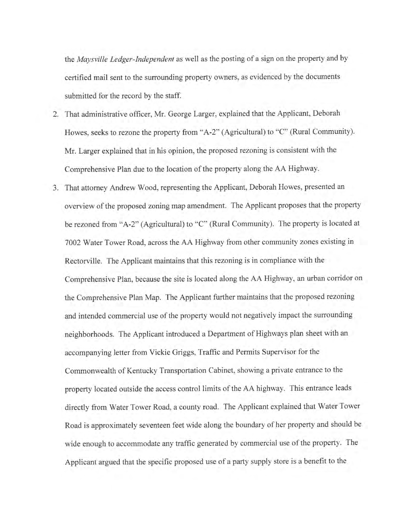the May sville Ledger-Independent as well as the posting of a sign on the property and by certified mail sent to the surrounding property owners, as evidenced by the documents submitted for the record by the staff.

- 2. That administrative officer, Mr. George Larger, explained that the Applicant, Deborah Howes, seeks to rezone the property from "A-2" (Agricultural) to "C" (Rural Community). Mr. Larger explained that in his opinion, the proposed rezoning is consistent with the Comprehensive Plan due to the location of the property along the AA Highway.
- 3. That attorney Andrew Wood, representing the Applicant, Deborah Howes, presented an overview of the proposed zoning map amendment. The Applicant proposes that the property be rezoned from "A-2" (Agricultural) to "C" (Rural Community). The property is located at 7002 Water Tower Road, across the AA Highway from other community zones existing in Rectorville. The Applicant maintains that this rezoning is in compliance with the Comprehensive Plan, because the site is located along the AA Highway, an urban corridor on the Comprehensive Plan Map. The Applicant further maintains that the proposed rezoning and intended commercial use of the property would not negatively impact the surrounding neighborhoods. The Applicant introduced a Department of Highways plan sheet with an accompanying letter from Vickie Griggs, Traffic and Permits Supervisor for the Commonwealth of Kentucky Transportation Cabinet, showing a private entrance to the property located outside the access control limits of the AA highway. This entrance leads directly from Water Tower Road, a county road. The Applicant explained that Water Tower Road is approximately seventeen feet wide along the boundary of her property and should be wide enough to accommodate any traffic generated by commercial use of the property. The Applicant argued that the specific proposed use of a party supply store is a benefit to the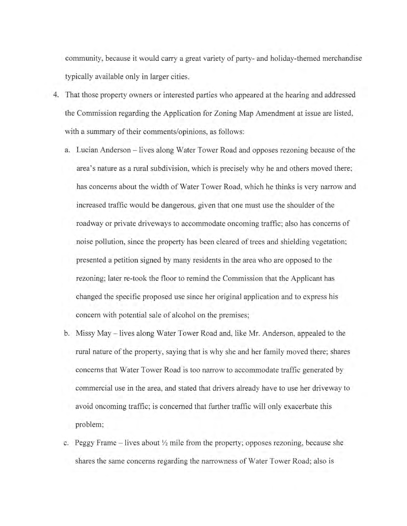community, because it would carry a great variety of party- and holiday-themed merchandise typically available only in larger cities.

- 4. That those property owners or interested parties who appeared at the hearing and addressed the Commission regarding the Application for Zoning Map Amendment at issue are listed, with a summary of their comments/opinions, as follows:
	- a. Lucian Anderson lives along Water Tower Road and opposes rezoning because of the area's nature as a rural subdivision, which is precisely why he and others moved there; has concerns about the width of Water Tower Road, which he thinks is very narrow and increased traffic would be dangerous, given that one must use the shoulder of the roadway or private driveways to accommodate oncoming traffic; also has concerns of noise pollution, since the property has been cleared of trees and shielding vegetation; presented a petition signed by many residents in the area who are opposed to the rezoning; later re-took the floor to remind the Commission that the Applicant has changed the specific proposed use since her original application and to express his concern with potential sale of alcohol on the premises;
	- b. Missy May lives along Water Tower Road and, like Mr. Anderson, appealed to the rural nature of the property, saying that is why she and her family moved there; shares concerns that Water Tower Road is too narrow to accommodate traffic generated by commercial use in the area, and stated that drivers already have to use her driveway to avoid oncoming traffic; is concerned that further traffic will only exacerbate this problem;
	- c. Peggy Frame lives about  $\frac{1}{2}$  mile from the property; opposes rezoning, because she shares the same concerns regarding the narrowness of Water Tower Road; also is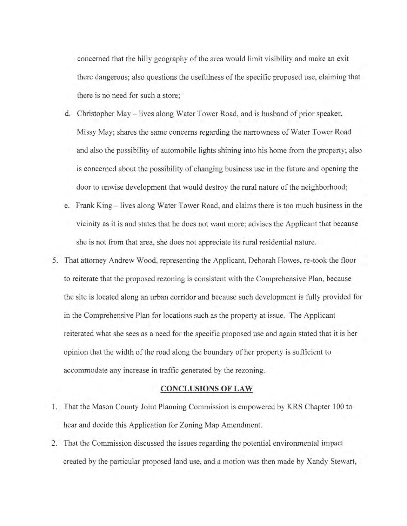concerned that the hilly geography of the area would limit visibility and make an exit there dangerous; also questions the usefulness of the specific proposed use, claiming that there is no need for such a store;

- d. Christopher May lives along Water Tower Road, and is husband of prior speaker, Missy May; shares the same concerns regarding the narrowness of Water Tower Road and also the possibility of automobile lights shining into his home from the property; also is concerned about the possibility of changing business use in the future and opening the door to unwise development that would destroy the rural nature of the neighborhood;
- e. Frank King lives along Water Tower Road, and claims there is too much business in the vicinity as it is and states that he does not want more; advises the Applicant that because she is not from that area, she does not appreciate its rural residential nature.
- 5. That attorney Andrew Wood, representing the Applicant, Deborah Howes, re-took the floor to reiterate that the proposed rezoning is consistent with the Comprehensive Plan, because the site is located along an urban corridor and because such development is fully provided for in the Comprehensive Plan for locations such as the property at issue. The Applicant reiterated what she sees as a need for the specific proposed use and again stated that it is her opinion that the width of the road along the boundary of her property is sufficient to accommodate any increase in traffic generated by the rezoning.

## **CONCLUSIONS OF LAW**

- 1. That the Mason County Joint Planning Commission is empowered by KRS Chapter 100 to hear and decide this Application for Zoning Map Amendment.
- 2. That the Commission discussed the issues regarding the potential environmental impact created by the particular proposed land use, and a motion was then made by Xandy Stewart,